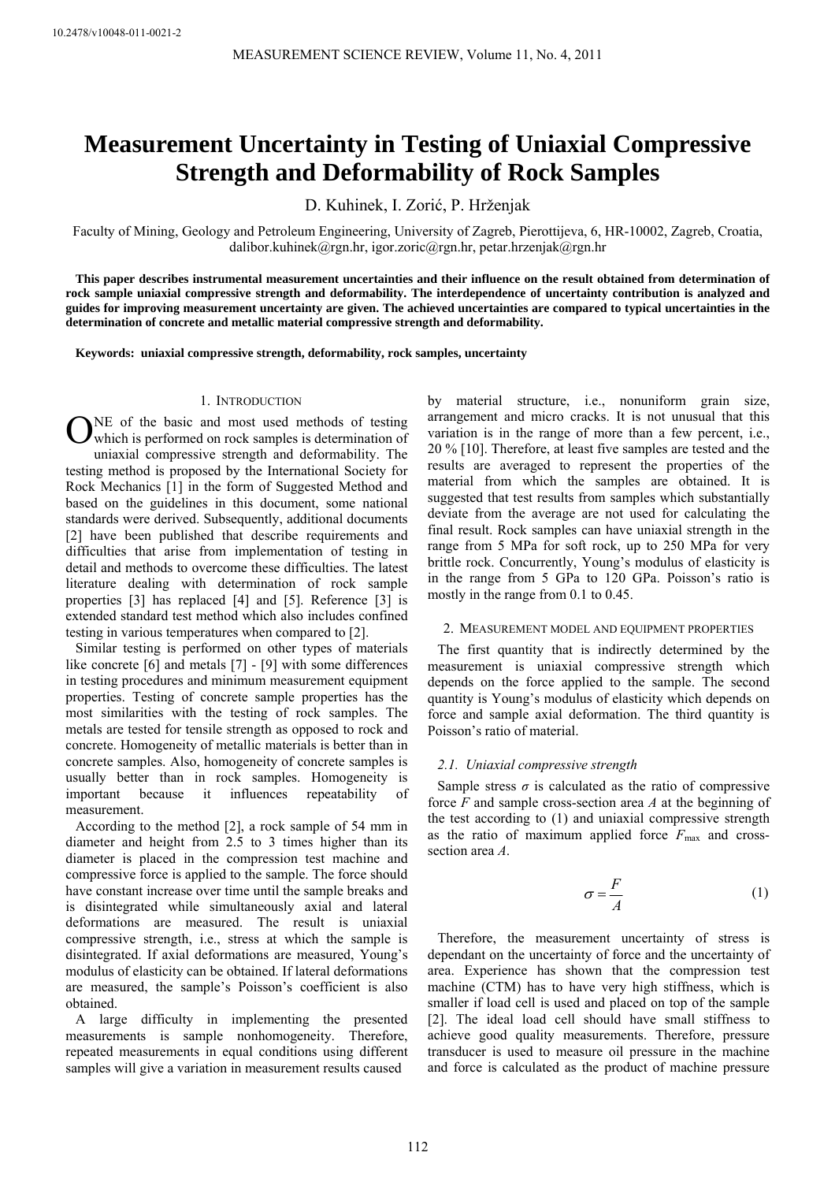# **Measurement Uncertainty in Testing of Uniaxial Compressive Strength and Deformability of Rock Samples**

D. Kuhinek, I. Zorić, P. Hrženjak

Faculty of Mining, Geology and Petroleum Engineering, University of Zagreb, Pierottijeva, 6, HR-10002, Zagreb, Croatia, dalibor.kuhinek@rgn.hr, igor.zoric@rgn.hr, petar.hrzenjak@rgn.hr

**This paper describes instrumental measurement uncertainties and their influence on the result obtained from determination of rock sample uniaxial compressive strength and deformability. The interdependence of uncertainty contribution is analyzed and guides for improving measurement uncertainty are given. The achieved uncertainties are compared to typical uncertainties in the determination of concrete and metallic material compressive strength and deformability.** 

**Keywords: uniaxial compressive strength, deformability, rock samples, uncertainty** 

#### 1. INTRODUCTION

ONE of the basic and most used methods of testing<br>
Uwhich is performed on rock samples is determination of which is performed on rock samples is determination of uniaxial compressive strength and deformability. The testing method is proposed by the International Society for Rock Mechanics [1] in the form of Suggested Method and based on the guidelines in this document, some national standards were derived. Subsequently, additional documents [2] have been published that describe requirements and difficulties that arise from implementation of testing in detail and methods to overcome these difficulties. The latest literature dealing with determination of rock sample properties [3] has replaced [4] and [5]. Reference [3] is extended standard test method which also includes confined testing in various temperatures when compared to [2].

Similar testing is performed on other types of materials like concrete [6] and metals [7] - [9] with some differences in testing procedures and minimum measurement equipment properties. Testing of concrete sample properties has the most similarities with the testing of rock samples. The metals are tested for tensile strength as opposed to rock and concrete. Homogeneity of metallic materials is better than in concrete samples. Also, homogeneity of concrete samples is usually better than in rock samples. Homogeneity is important because it influences repeatability of measurement.

According to the method [2], a rock sample of 54 mm in diameter and height from 2.5 to 3 times higher than its diameter is placed in the compression test machine and compressive force is applied to the sample. The force should have constant increase over time until the sample breaks and is disintegrated while simultaneously axial and lateral deformations are measured. The result is uniaxial compressive strength, i.e., stress at which the sample is disintegrated. If axial deformations are measured, Young's modulus of elasticity can be obtained. If lateral deformations are measured, the sample's Poisson's coefficient is also obtained.

A large difficulty in implementing the presented measurements is sample nonhomogeneity. Therefore, repeated measurements in equal conditions using different samples will give a variation in measurement results caused

by material structure, i.e., nonuniform grain size, arrangement and micro cracks. It is not unusual that this variation is in the range of more than a few percent, i.e., 20 % [10]. Therefore, at least five samples are tested and the results are averaged to represent the properties of the material from which the samples are obtained. It is suggested that test results from samples which substantially deviate from the average are not used for calculating the final result. Rock samples can have uniaxial strength in the range from 5 MPa for soft rock, up to 250 MPa for very brittle rock. Concurrently, Young's modulus of elasticity is in the range from 5 GPa to 120 GPa. Poisson's ratio is mostly in the range from 0.1 to 0.45.

#### 2. MEASUREMENT MODEL AND EQUIPMENT PROPERTIES

The first quantity that is indirectly determined by the measurement is uniaxial compressive strength which depends on the force applied to the sample. The second quantity is Young's modulus of elasticity which depends on force and sample axial deformation. The third quantity is Poisson's ratio of material.

## *2.1. Uniaxial compressive strength*

Sample stress  $\sigma$  is calculated as the ratio of compressive force *F* and sample cross-section area *A* at the beginning of the test according to (1) and uniaxial compressive strength as the ratio of maximum applied force  $F_{\text{max}}$  and crosssection area *A*.

$$
\sigma = \frac{F}{A} \tag{1}
$$

Therefore, the measurement uncertainty of stress is dependant on the uncertainty of force and the uncertainty of area. Experience has shown that the compression test machine (CTM) has to have very high stiffness, which is smaller if load cell is used and placed on top of the sample [2]. The ideal load cell should have small stiffness to achieve good quality measurements. Therefore, pressure transducer is used to measure oil pressure in the machine and force is calculated as the product of machine pressure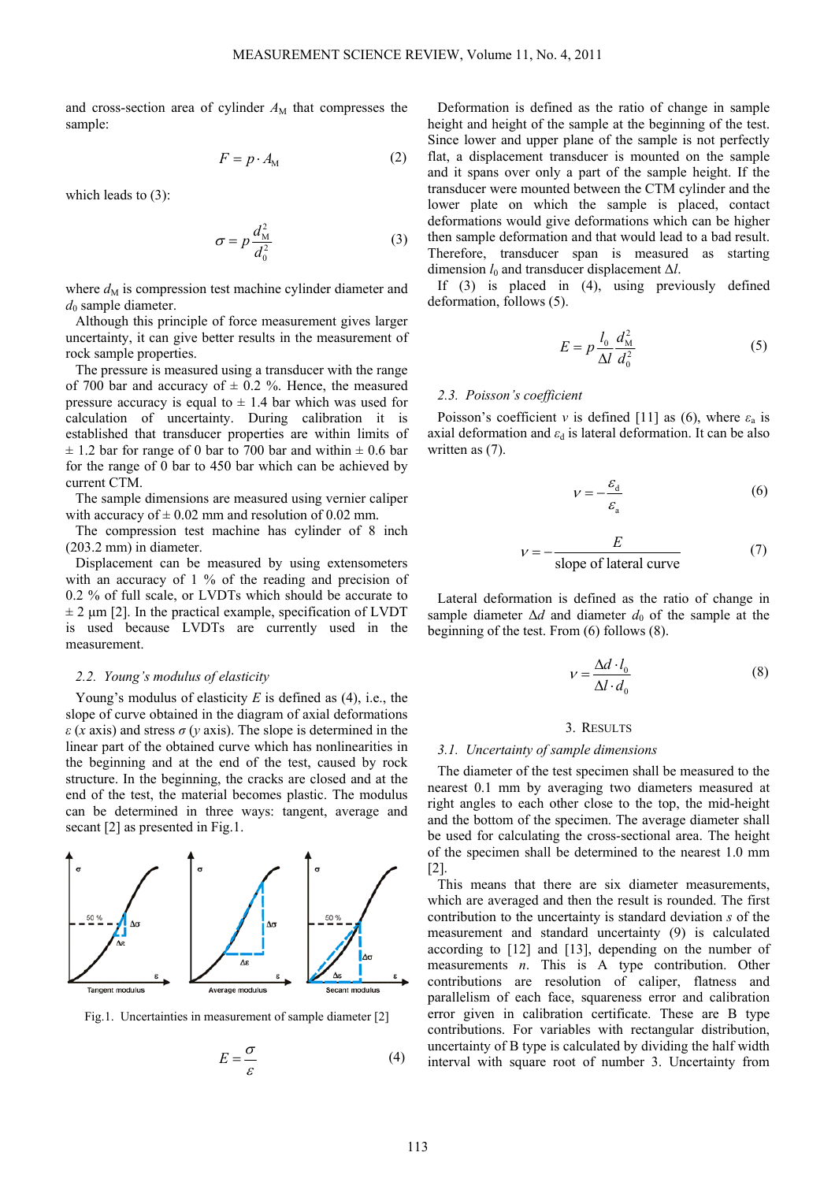and cross-section area of cylinder  $A_M$  that compresses the sample:

$$
F = p \cdot A_{\rm M} \tag{2}
$$

which leads to (3):

$$
\sigma = p \frac{d_{\rm M}^2}{d_0^2} \tag{3}
$$

where  $d_M$  is compression test machine cylinder diameter and  $d_0$  sample diameter.

Although this principle of force measurement gives larger uncertainty, it can give better results in the measurement of rock sample properties.

The pressure is measured using a transducer with the range of 700 bar and accuracy of  $\pm$  0.2 %. Hence, the measured pressure accuracy is equal to  $\pm$  1.4 bar which was used for calculation of uncertainty. During calibration it is established that transducer properties are within limits of  $\pm$  1.2 bar for range of 0 bar to 700 bar and within  $\pm$  0.6 bar for the range of 0 bar to 450 bar which can be achieved by current CTM.

The sample dimensions are measured using vernier caliper with accuracy of  $\pm$  0.02 mm and resolution of 0.02 mm.

The compression test machine has cylinder of 8 inch (203.2 mm) in diameter.

Displacement can be measured by using extensometers with an accuracy of 1 % of the reading and precision of 0.2 % of full scale, or LVDTs which should be accurate to  $\pm$  2 μm [2]. In the practical example, specification of LVDT is used because LVDTs are currently used in the measurement.

#### *2.2. Young's modulus of elasticity*

Young's modulus of elasticity *E* is defined as (4), i.e., the slope of curve obtained in the diagram of axial deformations *ε* (*x* axis) and stress *σ* (*y* axis). The slope is determined in the linear part of the obtained curve which has nonlinearities in the beginning and at the end of the test, caused by rock structure. In the beginning, the cracks are closed and at the end of the test, the material becomes plastic. The modulus can be determined in three ways: tangent, average and secant [2] as presented in Fig.1.



Fig.1. Uncertainties in measurement of sample diameter [2]

$$
E = \frac{\sigma}{\varepsilon} \tag{4}
$$

Deformation is defined as the ratio of change in sample height and height of the sample at the beginning of the test. Since lower and upper plane of the sample is not perfectly flat, a displacement transducer is mounted on the sample and it spans over only a part of the sample height. If the transducer were mounted between the CTM cylinder and the lower plate on which the sample is placed, contact deformations would give deformations which can be higher then sample deformation and that would lead to a bad result. Therefore, transducer span is measured as starting dimension *l*0 and transducer displacement Δ*l*.

If (3) is placed in (4), using previously defined deformation, follows (5).

$$
E = p \frac{l_0}{\Delta l} \frac{d_M^2}{d_0^2} \tag{5}
$$

## *2.3. Poisson's coefficient*

Poisson's coefficient *v* is defined [11] as (6), where  $\varepsilon_a$  is axial deformation and  $\varepsilon_d$  is lateral deformation. It can be also written as (7).

$$
\nu = -\frac{\varepsilon_{\rm d}}{\varepsilon_{\rm a}}\tag{6}
$$

$$
v = -\frac{E}{\text{slope of lateral curve}} \tag{7}
$$

Lateral deformation is defined as the ratio of change in sample diameter  $\Delta d$  and diameter  $d_0$  of the sample at the beginning of the test. From (6) follows (8).

$$
V = \frac{\Delta d \cdot l_0}{\Delta l \cdot d_0} \tag{8}
$$

#### 3. RESULTS

#### *3.1. Uncertainty of sample dimensions*

The diameter of the test specimen shall be measured to the nearest 0.1 mm by averaging two diameters measured at right angles to each other close to the top, the mid-height and the bottom of the specimen. The average diameter shall be used for calculating the cross-sectional area. The height of the specimen shall be determined to the nearest 1.0 mm [2].

This means that there are six diameter measurements, which are averaged and then the result is rounded. The first contribution to the uncertainty is standard deviation *s* of the measurement and standard uncertainty (9) is calculated according to [12] and [13], depending on the number of measurements *n*. This is A type contribution. Other contributions are resolution of caliper, flatness and parallelism of each face, squareness error and calibration error given in calibration certificate. These are B type contributions. For variables with rectangular distribution, uncertainty of B type is calculated by dividing the half width interval with square root of number 3. Uncertainty from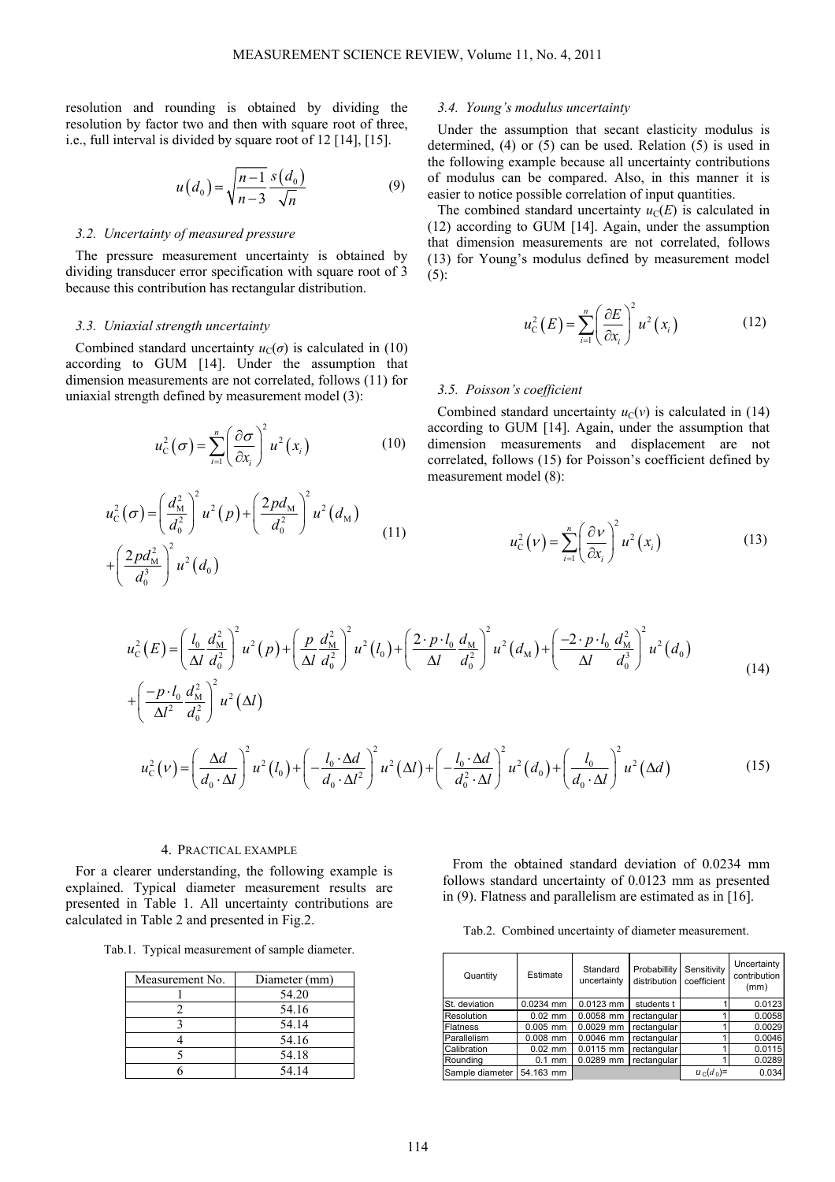resolution and rounding is obtained by dividing the resolution by factor two and then with square root of three, i.e., full interval is divided by square root of 12 [14], [15].

$$
u(d_0) = \sqrt{\frac{n-1}{n-3}} \frac{s(d_0)}{\sqrt{n}}
$$
 (9)

#### *3.2. Uncertainty of measured pressure*

The pressure measurement uncertainty is obtained by dividing transducer error specification with square root of 3 because this contribution has rectangular distribution.

#### *3.3. Uniaxial strength uncertainty*

Combined standard uncertainty  $u_C(\sigma)$  is calculated in (10) according to GUM [14]. Under the assumption that dimension measurements are not correlated, follows (11) for uniaxial strength defined by measurement model (3):

$$
u_{\rm c}^2(\sigma) = \sum_{i=1}^n \left(\frac{\partial \sigma}{\partial x_i}\right)^2 u^2(x_i)
$$
 (10)

$$
u_{\rm C}^2(\sigma) = \left(\frac{d_{\rm M}^2}{d_{\rm 0}^2}\right)^2 u^2(p) + \left(\frac{2pd_{\rm M}}{d_{\rm 0}^2}\right)^2 u^2(d_{\rm M})
$$
  
+ 
$$
\left(\frac{2pd_{\rm M}^2}{d_{\rm 0}^3}\right)^2 u^2(d_{\rm 0})
$$
 (11)

## *3.4. Young's modulus uncertainty*

Under the assumption that secant elasticity modulus is determined, (4) or (5) can be used. Relation (5) is used in the following example because all uncertainty contributions of modulus can be compared. Also, in this manner it is easier to notice possible correlation of input quantities.

The combined standard uncertainty  $u_C(E)$  is calculated in (12) according to GUM [14]. Again, under the assumption that dimension measurements are not correlated, follows (13) for Young's modulus defined by measurement model (5):

$$
u_{\mathcal{C}}^{2}(E) = \sum_{i=1}^{n} \left(\frac{\partial E}{\partial x_{i}}\right)^{2} u^{2}(x_{i})
$$
 (12)

## *3.5. Poisson's coefficient*

Combined standard uncertainty  $u_C(v)$  is calculated in (14) according to GUM [14]. Again, under the assumption that dimension measurements and displacement are not correlated, follows (15) for Poisson's coefficient defined by measurement model (8):

$$
u_{\rm C}^2(\nu) = \sum_{i=1}^n \left(\frac{\partial \nu}{\partial x_i}\right)^2 u^2(x_i)
$$
 (13)

$$
u_{\rm C}^{2}(E) = \left(\frac{l_{\rm o}}{\Delta l} \frac{d_{\rm M}^{2}}{d_{\rm o}^{2}}\right)^{2} u^{2}(p) + \left(\frac{p}{\Delta l} \frac{d_{\rm M}^{2}}{d_{\rm o}^{2}}\right)^{2} u^{2}(l_{\rm o}) + \left(\frac{2 \cdot p \cdot l_{\rm o}}{\Delta l} \frac{d_{\rm M}}{d_{\rm o}^{2}}\right)^{2} u^{2}(d_{\rm M}) + \left(\frac{-2 \cdot p \cdot l_{\rm o}}{\Delta l} \frac{d_{\rm M}^{2}}{d_{\rm o}^{3}}\right)^{2} u^{2}(d_{\rm o}) + \left(\frac{-p \cdot l_{\rm o}}{\Delta l^{2}} \frac{d_{\rm M}^{2}}{d_{\rm o}^{2}}\right)^{2} u^{2}(\Delta l) \tag{14}
$$

$$
u_{\rm C}^2(\nu) = \left(\frac{\Delta d}{d_0 \cdot \Delta l}\right)^2 u^2 \left(l_0\right) + \left(-\frac{l_0 \cdot \Delta d}{d_0 \cdot \Delta l^2}\right)^2 u^2 \left(\Delta l\right) + \left(-\frac{l_0 \cdot \Delta d}{d_0^2 \cdot \Delta l}\right)^2 u^2 \left(d_0\right) + \left(\frac{l_0}{d_0 \cdot \Delta l}\right)^2 u^2 \left(\Delta d\right) \tag{15}
$$

#### 4. PRACTICAL EXAMPLE

For a clearer understanding, the following example is explained. Typical diameter measurement results are presented in Table 1. All uncertainty contributions are calculated in Table 2 and presented in Fig.2.

Tab.1. Typical measurement of sample diameter.

| Measurement No. | Diameter (mm) |
|-----------------|---------------|
|                 | 54.20         |
|                 | 54.16         |
|                 | 54.14         |
|                 | 54.16         |
|                 | 54.18         |
|                 | 54 14         |

From the obtained standard deviation of 0.0234 mm follows standard uncertainty of 0.0123 mm as presented in (9). Flatness and parallelism are estimated as in [16].

|  |  | Tab.2. Combined uncertainty of diameter measurement. |
|--|--|------------------------------------------------------|
|  |  |                                                      |

| Quantity        | Estimate    | Standard<br>uncertainty | Probabillity<br>distribution | Sensitivity<br>coefficient | Uncertainty<br>contribution<br>(mm) |
|-----------------|-------------|-------------------------|------------------------------|----------------------------|-------------------------------------|
| St. deviation   | $0.0234$ mm | $0.0123$ mm             | students t                   |                            | 0.0123                              |
| Resolution      | $0.02$ mm   | 0.0058 mm               | rectangular                  |                            | 0.0058                              |
| <b>Flatness</b> | $0.005$ mm  | $0.0029$ mm             | rectangular                  |                            | 0.0029                              |
| Parallelism     | $0.008$ mm  | 0.0046 mm               | rectangular                  |                            | 0.0046                              |
| Calibration     | $0.02$ mm   | 0.0115 mm               | rectangular                  |                            | 0.0115                              |
| Rounding        | $0.1$ mm    | 0.0289 mm               | rectangular                  |                            | 0.0289                              |
| Sample diameter | 54.163 mm   |                         |                              | $u_c(d_0)$ =               | 0.034                               |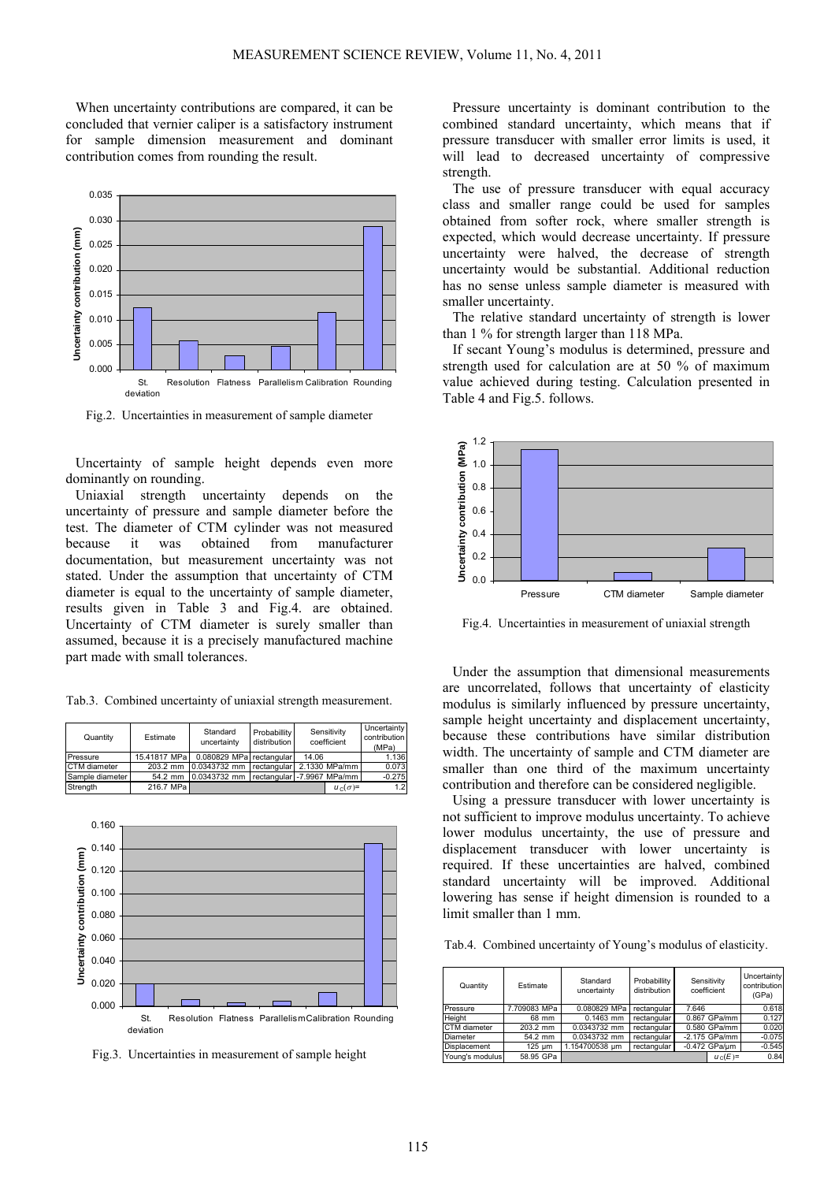When uncertainty contributions are compared, it can be concluded that vernier caliper is a satisfactory instrument for sample dimension measurement and dominant contribution comes from rounding the result.



Fig.2. Uncertainties in measurement of sample diameter

Uncertainty of sample height depends even more dominantly on rounding.

Uniaxial strength uncertainty depends on the uncertainty of pressure and sample diameter before the test. The diameter of CTM cylinder was not measured because it was obtained from manufacturer documentation, but measurement uncertainty was not stated. Under the assumption that uncertainty of CTM diameter is equal to the uncertainty of sample diameter, results given in Table 3 and Fig.4. are obtained. Uncertainty of CTM diameter is surely smaller than assumed, because it is a precisely manufactured machine part made with small tolerances.

Tab.3. Combined uncertainty of uniaxial strength measurement.

| Quantity        | Estimate      | Standard<br>uncertainty                 | Probabillity<br>distribution |       | Sensitivity<br>coefficient | Uncertainty<br>contribution<br>(MPa) |
|-----------------|---------------|-----------------------------------------|------------------------------|-------|----------------------------|--------------------------------------|
| Pressure        | 15.41817 MPal | 0.080829 MPal rectangular               |                              | 14.06 |                            | 1.136                                |
| CTM diameter    | $203.2$ mm    | 0.0343732 mm rectangular 2.1330 MPa/mm  |                              |       |                            | 0.073                                |
| Sample diameter | 54.2 mm       | 0.0343732 mm rectangular -7.9967 MPa/mm |                              |       |                            | $-0.275$                             |
| Strength        | 216.7 MPa     |                                         |                              |       | $u_{c}(\sigma)$ =          | 1.2                                  |



Fig.3. Uncertainties in measurement of sample height

Pressure uncertainty is dominant contribution to the combined standard uncertainty, which means that if pressure transducer with smaller error limits is used, it will lead to decreased uncertainty of compressive strength.

The use of pressure transducer with equal accuracy class and smaller range could be used for samples obtained from softer rock, where smaller strength is expected, which would decrease uncertainty. If pressure uncertainty were halved, the decrease of strength uncertainty would be substantial. Additional reduction has no sense unless sample diameter is measured with smaller uncertainty.

The relative standard uncertainty of strength is lower than 1 % for strength larger than 118 MPa.

If secant Young's modulus is determined, pressure and strength used for calculation are at 50 % of maximum value achieved during testing. Calculation presented in Table 4 and Fig.5. follows.



Fig.4. Uncertainties in measurement of uniaxial strength

Under the assumption that dimensional measurements are uncorrelated, follows that uncertainty of elasticity modulus is similarly influenced by pressure uncertainty, sample height uncertainty and displacement uncertainty, because these contributions have similar distribution width. The uncertainty of sample and CTM diameter are smaller than one third of the maximum uncertainty contribution and therefore can be considered negligible.

Using a pressure transducer with lower uncertainty is not sufficient to improve modulus uncertainty. To achieve lower modulus uncertainty, the use of pressure and displacement transducer with lower uncertainty is required. If these uncertainties are halved, combined standard uncertainty will be improved. Additional lowering has sense if height dimension is rounded to a limit smaller than 1 mm.

Tab.4. Combined uncertainty of Young's modulus of elasticity.

| Quantity            | Estimate     | Standard<br>uncertainty | Probabillity<br>distribution |       | Sensitivity<br>coefficient | Uncertainty<br>contribution<br>(GPa) |
|---------------------|--------------|-------------------------|------------------------------|-------|----------------------------|--------------------------------------|
| Pressure            | 7.709083 MPa | 0.080829 MPa            | rectangular                  | 7.646 |                            | 0.618                                |
| Height              | 68 mm        | $0.1463$ mm             | rectangular                  |       | 0.867 GPa/mm               | 0.127                                |
| CTM diameter        | 203.2 mm     | 0.0343732 mm            | rectangular                  |       | 0.580 GPa/mm               | 0.020                                |
| Diameter            | 54.2 mm      | 0.0343732 mm            | rectangular                  |       | $-2.175$ GPa/mm            | $-0.075$                             |
| <b>Displacement</b> | 125 um       | 1.154700538 um          | rectangular                  |       | -0.472 GPa/um              | $-0.545$                             |
| Young's modulus     | 58.95 GPa    |                         |                              |       | $u_c(E)$ =                 | 0.84                                 |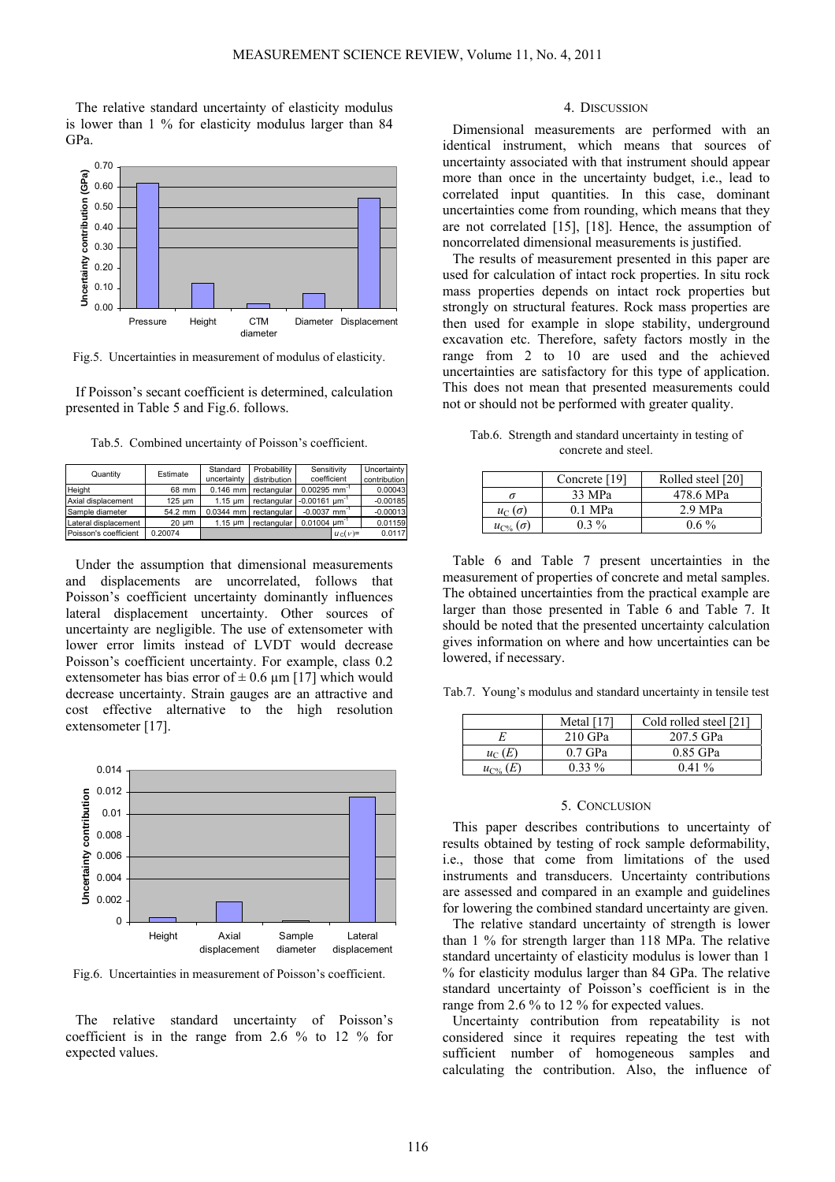The relative standard uncertainty of elasticity modulus is lower than 1 % for elasticity modulus larger than 84 GPa.



Fig.5. Uncertainties in measurement of modulus of elasticity.

If Poisson's secant coefficient is determined, calculation presented in Table 5 and Fig.6. follows.

Tab.5. Combined uncertainty of Poisson's coefficient.

| Quantity              | Estimate | Standard          | <b>Probabillity</b> | Sensitivity                |            | Uncertainty  |
|-----------------------|----------|-------------------|---------------------|----------------------------|------------|--------------|
|                       |          | uncertainty       | distribution        | coefficient                |            | contribution |
| Height                | 68 mm    | $0.146$ mm        | rectangular         | $0.00295$ mm <sup>-1</sup> |            | 0.00043      |
| Axial displacement    | 125 um   | $1.15 \mu m$      | rectangular         | $-0.00161 \mu m$           |            | $-0.00185$   |
| Sample diameter       | 54.2 mm  | $0.0344$ mm       | rectangular         | $-0.0037$ mm <sup>-1</sup> |            | $-0.00013$   |
| Lateral displacement  | 20 um    | $1.15 \text{ um}$ | rectangular         | $0.01004$ um <sup>-1</sup> |            | 0.01159      |
| Poisson's coefficient | 0.20074  |                   |                     |                            | $u_C(v)$ = | 0.0117       |

Under the assumption that dimensional measurements and displacements are uncorrelated, follows that Poisson's coefficient uncertainty dominantly influences lateral displacement uncertainty. Other sources of uncertainty are negligible. The use of extensometer with lower error limits instead of LVDT would decrease Poisson's coefficient uncertainty. For example, class 0.2 extensometer has bias error of  $\pm$  0.6 µm [17] which would decrease uncertainty. Strain gauges are an attractive and cost effective alternative to the high resolution extensometer [17].



Fig.6. Uncertainties in measurement of Poisson's coefficient.

The relative standard uncertainty of Poisson's coefficient is in the range from 2.6 % to 12 % for expected values.

### 4. DISCUSSION

Dimensional measurements are performed with an identical instrument, which means that sources of uncertainty associated with that instrument should appear more than once in the uncertainty budget, i.e., lead to correlated input quantities. In this case, dominant uncertainties come from rounding, which means that they are not correlated [15], [18]. Hence, the assumption of noncorrelated dimensional measurements is justified.

The results of measurement presented in this paper are used for calculation of intact rock properties. In situ rock mass properties depends on intact rock properties but strongly on structural features. Rock mass properties are then used for example in slope stability, underground excavation etc. Therefore, safety factors mostly in the range from 2 to 10 are used and the achieved uncertainties are satisfactory for this type of application. This does not mean that presented measurements could not or should not be performed with greater quality.

Tab.6. Strength and standard uncertainty in testing of concrete and steel.

|                      | Concrete [19] | Rolled steel [20] |
|----------------------|---------------|-------------------|
|                      | 33 MPa        | 478.6 MPa         |
| $u_{\Gamma}(\sigma)$ | 0.1 MPa       | $2.9$ MPa         |
| $u_{\Gamma^{0}}$     | $0.3\%$       | $0.6\%$           |

Table 6 and Table 7 present uncertainties in the measurement of properties of concrete and metal samples. The obtained uncertainties from the practical example are larger than those presented in Table 6 and Table 7. It should be noted that the presented uncertainty calculation gives information on where and how uncertainties can be lowered, if necessary.

Tab.7. Young's modulus and standard uncertainty in tensile test

|                | Metal $[17]$ | Cold rolled steel [21] |
|----------------|--------------|------------------------|
|                | $210$ GPa    | 207.5 GPa              |
| $u_C(E)$       | $0.7$ GPa    | 0.85 GPa               |
| $u_{\Gamma\%}$ | $0.33\%$     | $0.41\%$               |

## 5. CONCLUSION

This paper describes contributions to uncertainty of results obtained by testing of rock sample deformability, i.e., those that come from limitations of the used instruments and transducers. Uncertainty contributions are assessed and compared in an example and guidelines for lowering the combined standard uncertainty are given.

The relative standard uncertainty of strength is lower than 1 % for strength larger than 118 MPa. The relative standard uncertainty of elasticity modulus is lower than 1 % for elasticity modulus larger than 84 GPa. The relative standard uncertainty of Poisson's coefficient is in the range from 2.6 % to 12 % for expected values.

Uncertainty contribution from repeatability is not considered since it requires repeating the test with sufficient number of homogeneous samples and calculating the contribution. Also, the influence of